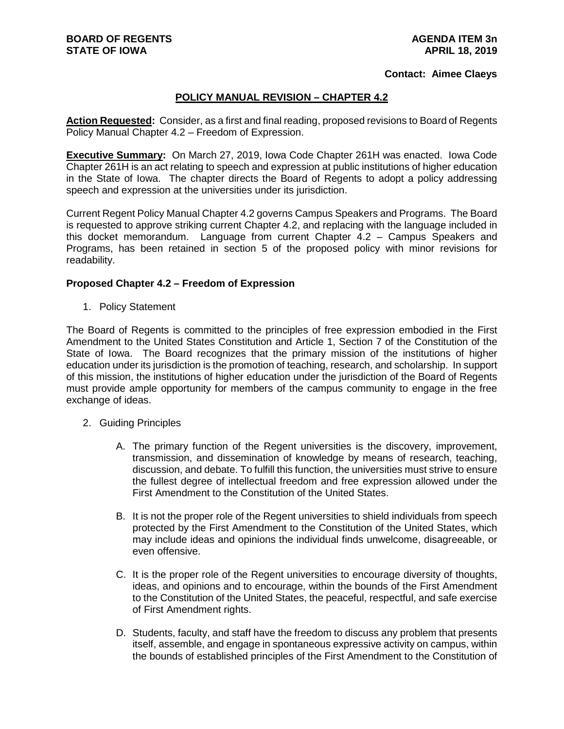## **Contact: Aimee Claeys**

## **POLICY MANUAL REVISION – CHAPTER 4.2**

**Action Requested:** Consider, as a first and final reading, proposed revisions to Board of Regents Policy Manual Chapter 4.2 – Freedom of Expression.

**Executive Summary:** On March 27, 2019, Iowa Code Chapter 261H was enacted. Iowa Code Chapter 261H is an act relating to speech and expression at public institutions of higher education in the State of Iowa. The chapter directs the Board of Regents to adopt a policy addressing speech and expression at the universities under its jurisdiction.

Current Regent Policy Manual Chapter 4.2 governs Campus Speakers and Programs. The Board is requested to approve striking current Chapter 4.2, and replacing with the language included in this docket memorandum. Language from current Chapter 4.2 – Campus Speakers and Programs, has been retained in section 5 of the proposed policy with minor revisions for readability.

## **Proposed Chapter 4.2 – Freedom of Expression**

1. Policy Statement

The Board of Regents is committed to the principles of free expression embodied in the First Amendment to the United States Constitution and Article 1, Section 7 of the Constitution of the State of Iowa. The Board recognizes that the primary mission of the institutions of higher education under its jurisdiction is the promotion of teaching, research, and scholarship. In support of this mission, the institutions of higher education under the jurisdiction of the Board of Regents must provide ample opportunity for members of the campus community to engage in the free exchange of ideas.

- 2. Guiding Principles
	- A. The primary function of the Regent universities is the discovery, improvement, transmission, and dissemination of knowledge by means of research, teaching, discussion, and debate. To fulfill this function, the universities must strive to ensure the fullest degree of intellectual freedom and free expression allowed under the First Amendment to the Constitution of the United States.
	- B. It is not the proper role of the Regent universities to shield individuals from speech protected by the First Amendment to the Constitution of the United States, which may include ideas and opinions the individual finds unwelcome, disagreeable, or even offensive.
	- C. It is the proper role of the Regent universities to encourage diversity of thoughts, ideas, and opinions and to encourage, within the bounds of the First Amendment to the Constitution of the United States, the peaceful, respectful, and safe exercise of First Amendment rights.
	- D. Students, faculty, and staff have the freedom to discuss any problem that presents itself, assemble, and engage in spontaneous expressive activity on campus, within the bounds of established principles of the First Amendment to the Constitution of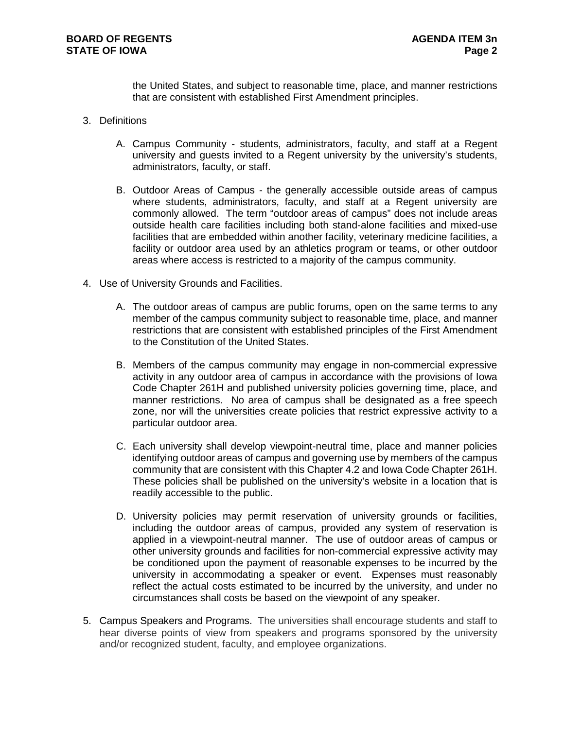the United States, and subject to reasonable time, place, and manner restrictions that are consistent with established First Amendment principles.

- 3. Definitions
	- A. Campus Community students, administrators, faculty, and staff at a Regent university and guests invited to a Regent university by the university's students, administrators, faculty, or staff.
	- B. Outdoor Areas of Campus the generally accessible outside areas of campus where students, administrators, faculty, and staff at a Regent university are commonly allowed. The term "outdoor areas of campus" does not include areas outside health care facilities including both stand-alone facilities and mixed-use facilities that are embedded within another facility, veterinary medicine facilities, a facility or outdoor area used by an athletics program or teams, or other outdoor areas where access is restricted to a majority of the campus community.
- 4. Use of University Grounds and Facilities.
	- A. The outdoor areas of campus are public forums, open on the same terms to any member of the campus community subject to reasonable time, place, and manner restrictions that are consistent with established principles of the First Amendment to the Constitution of the United States.
	- B. Members of the campus community may engage in non-commercial expressive activity in any outdoor area of campus in accordance with the provisions of Iowa Code Chapter 261H and published university policies governing time, place, and manner restrictions. No area of campus shall be designated as a free speech zone, nor will the universities create policies that restrict expressive activity to a particular outdoor area.
	- C. Each university shall develop viewpoint-neutral time, place and manner policies identifying outdoor areas of campus and governing use by members of the campus community that are consistent with this Chapter 4.2 and Iowa Code Chapter 261H. These policies shall be published on the university's website in a location that is readily accessible to the public.
	- D. University policies may permit reservation of university grounds or facilities, including the outdoor areas of campus, provided any system of reservation is applied in a viewpoint-neutral manner. The use of outdoor areas of campus or other university grounds and facilities for non-commercial expressive activity may be conditioned upon the payment of reasonable expenses to be incurred by the university in accommodating a speaker or event. Expenses must reasonably reflect the actual costs estimated to be incurred by the university, and under no circumstances shall costs be based on the viewpoint of any speaker.
- 5. Campus Speakers and Programs. The universities shall encourage students and staff to hear diverse points of view from speakers and programs sponsored by the university and/or recognized student, faculty, and employee organizations.